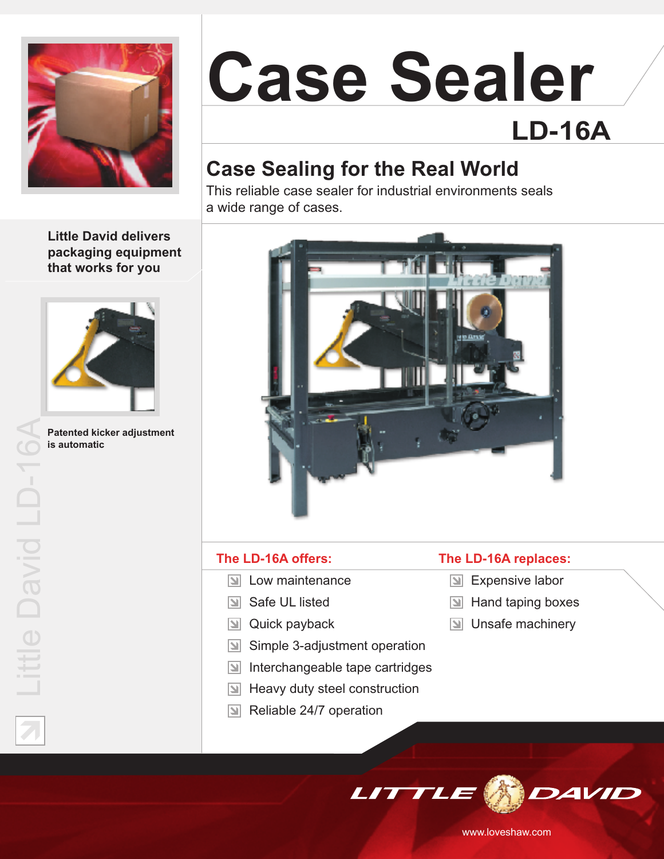

# **Case Sealer LD-16A**

# **Case Sealing for the Real World**

This reliable case sealer for industrial environments seals a wide range of cases.

**Little David delivers packaging equipment that works for you**



**Patented kicker adjustment is automatic**



#### **The LD-16A offers:**

- **N** Low maintenance
- Safe UL listed
- $\boxed{\mathbf{y}}$  Quick payback
- Simple 3-adjustment operation  $\vert \mathbb{Z} \vert$
- $|\mathbf{z}|$ Interchangeable tape cartridges
- Heavy duty steel construction Iыl
- $\boxed{\mathbb{N}}$  Reliable 24/7 operation

#### **The LD-16A replaces:**

- **Expensive labor**
- $\boxed{\triangle}$  Hand taping boxes
- $\boxed{\mathbf{N}}$  Unsafe machinery



www.loveshaw.com